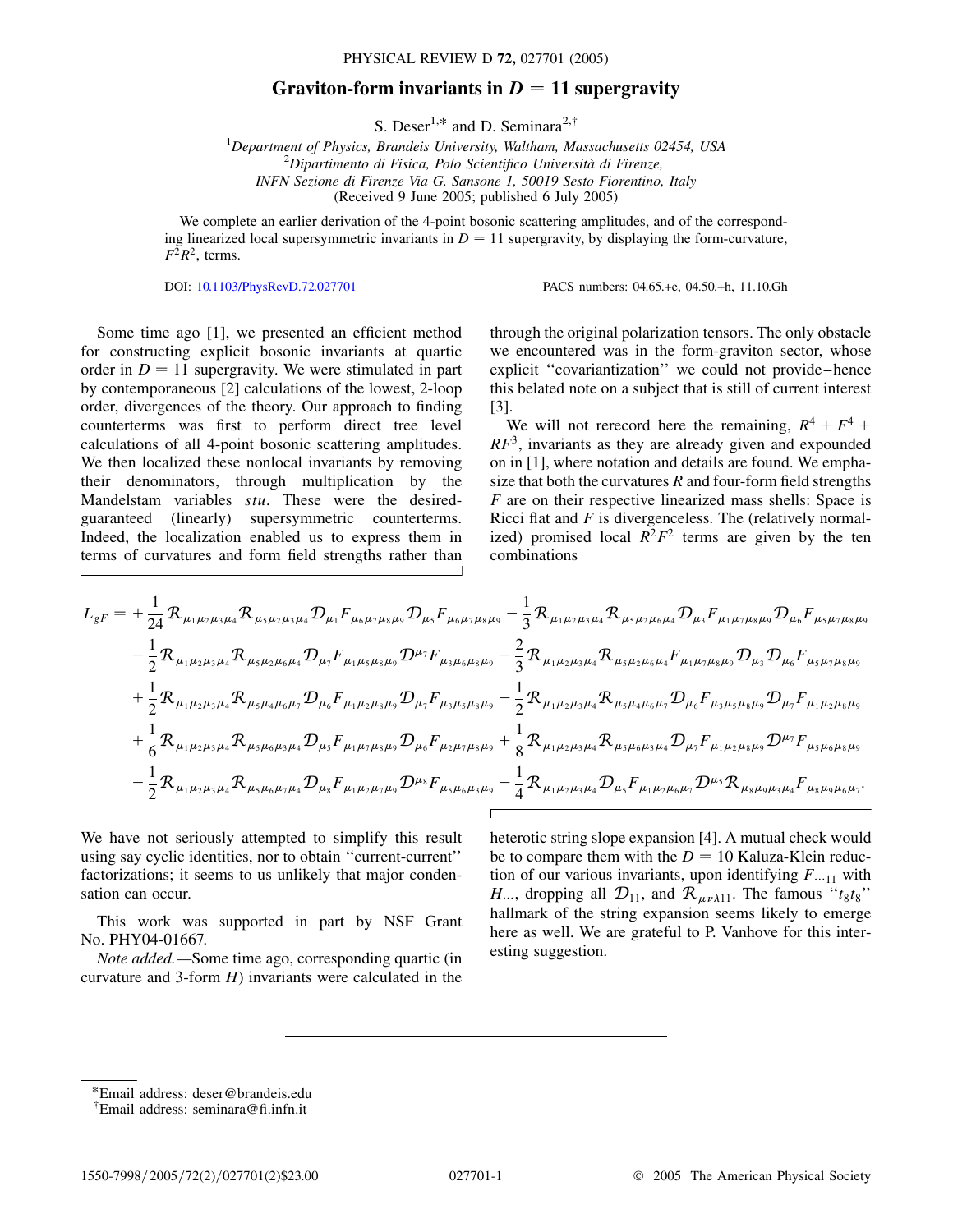PHYSICAL REVIEW D **72,** 027701 (2005)

## Graviton-form invariants in  $D = 11$  supergravity

S. Deser<sup>1,\*</sup> and D. Seminara<sup>2,†</sup>

<sup>1</sup>Department of Physics, Brandeis University, Waltham, Massachusetts 02454, USA<br><sup>2</sup> Dinastimante di Fisica, Polo Scientifice Università di Fiscanza *Dipartimento di Fisica, Polo Scientifico Universita` di Firenze, INFN Sezione di Firenze Via G. Sansone 1, 50019 Sesto Fiorentino, Italy* (Received 9 June 2005; published 6 July 2005)

We complete an earlier derivation of the 4-point bosonic scattering amplitudes, and of the corresponding linearized local supersymmetric invariants in  $D = 11$  supergravity, by displaying the form-curvature,  $F^2R^2$ , terms.

DOI: [10.1103/PhysRevD.72.027701](http://dx.doi.org/10.1103/PhysRevD.72.027701) PACS numbers: 04.65.+e, 04.50.+h, 11.10.Gh

Some time ago [1], we presented an efficient method for constructing explicit bosonic invariants at quartic order in  $D = 11$  supergravity. We were stimulated in part by contemporaneous [2] calculations of the lowest, 2-loop order, divergences of the theory. Our approach to finding counterterms was first to perform direct tree level calculations of all 4-point bosonic scattering amplitudes. We then localized these nonlocal invariants by removing their denominators, through multiplication by the Mandelstam variables *stu*. These were the desiredguaranteed (linearly) supersymmetric counterterms. Indeed, the localization enabled us to express them in terms of curvatures and form field strengths rather than

through the original polarization tensors. The only obstacle we encountered was in the form-graviton sector, whose explicit ''covariantization'' we could not provide–hence this belated note on a subject that is still of current interest [3].

We will not rerecord here the remaining,  $R^4 + F^4 +$ *RF*3, invariants as they are already given and expounded on in [1], where notation and details are found. We emphasize that both the curvatures *R* and four-form field strengths *F* are on their respective linearized mass shells: Space is Ricci flat and *F* is divergenceless. The (relatively normalized) promised local  $R^2F^2$  terms are given by the ten combinations

$$
L_{gF} = +\frac{1}{24} \mathcal{R}_{\mu_{1}\mu_{2}\mu_{3}\mu_{4}} \mathcal{R}_{\mu_{5}\mu_{2}\mu_{3}\mu_{4}} \mathcal{D}_{\mu_{1}} F_{\mu_{6}\mu_{7}\mu_{8}\mu_{9}} \mathcal{D}_{\mu_{5}} F_{\mu_{6}\mu_{7}\mu_{8}\mu_{9}} - \frac{1}{3} \mathcal{R}_{\mu_{1}\mu_{2}\mu_{3}\mu_{4}} \mathcal{R}_{\mu_{5}\mu_{2}\mu_{6}\mu_{4}} \mathcal{D}_{\mu_{3}} F_{\mu_{1}\mu_{7}\mu_{8}\mu_{9}} \mathcal{D}_{\mu_{6}} F_{\mu_{5}\mu_{7}\mu_{8}\mu_{9}} -\frac{1}{2} \mathcal{R}_{\mu_{1}\mu_{2}\mu_{3}\mu_{4}} \mathcal{R}_{\mu_{5}\mu_{2}\mu_{6}\mu_{4}} \mathcal{D}_{\mu_{7}} F_{\mu_{1}\mu_{5}\mu_{8}\mu_{9}} \mathcal{D}^{\mu_{7}} F_{\mu_{3}\mu_{6}\mu_{8}\mu_{9}} - \frac{2}{3} \mathcal{R}_{\mu_{1}\mu_{2}\mu_{3}\mu_{4}} \mathcal{R}_{\mu_{5}\mu_{2}\mu_{6}\mu_{4}} F_{\mu_{1}\mu_{7}\mu_{8}\mu_{9}} \mathcal{D}_{\mu_{3}} \mathcal{D}_{\mu_{6}} F_{\mu_{5}\mu_{7}\mu_{8}\mu_{9}} +\frac{1}{2} \mathcal{R}_{\mu_{1}\mu_{2}\mu_{3}\mu_{4}} \mathcal{R}_{\mu_{5}\mu_{4}\mu_{6}\mu_{7}} \mathcal{D}_{\mu_{6}} F_{\mu_{1}\mu_{2}\mu_{8}\mu_{9}} \mathcal{D}_{\mu_{7}} F_{\mu_{3}\mu_{5}\mu_{9}} \mathcal{D}_{\mu_{7}} F_{\mu_{3}\mu_{5}\mu_{9}} \mathcal{D}_{\mu_{7}} F_{\mu_{1}\mu_{2}\mu_{8}\mu_{9}} +\frac{1}{6} \mathcal{R}_{\mu_{1}\mu_{2}\mu_{3}\mu_{4}} \mathcal{R}_{\mu_{5}\mu_{6}\mu_{3}\mu_{4}} \mathcal{D}_{\mu_{5}} F_{\mu_{1}\mu_{7}\mu_{8}\mu_{9}} \mathcal{D}_{\mu_{6}} F_{\mu_{2}\mu_{7}\mu_{8}\mu_{9}} + \frac{1}{8} \
$$

We have not seriously attempted to simplify this result using say cyclic identities, nor to obtain ''current-current'' factorizations; it seems to us unlikely that major condensation can occur.

This work was supported in part by NSF Grant No. PHY04-01667.

*Note added.—*Some time ago, corresponding quartic (in curvature and 3-form *H*) invariants were calculated in the

heterotic string slope expansion [4]. A mutual check would be to compare them with the  $D = 10$  Kaluza-Klein reduction of our various invariants, upon identifying  $F_{n+1}$  with *H*..., dropping all  $\mathcal{D}_{11}$ , and  $\mathcal{R}_{\mu\nu\lambda 11}$ . The famous " $t_8t_8$ " hallmark of the string expansion seems likely to emerge here as well. We are grateful to P. Vanhove for this interesting suggestion.

\*Email address: deser@brandeis.edu

<sup>†</sup> Email address: seminara@fi.infn.it